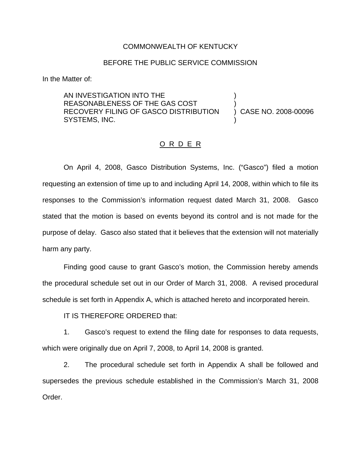#### COMMONWEALTH OF KENTUCKY

### BEFORE THE PUBLIC SERVICE COMMISSION

In the Matter of:

AN INVESTIGATION INTO THE REASONABLENESS OF THE GAS COST RECOVERY FILING OF GASCO DISTRIBUTION SYSTEMS, INC.

) CASE NO. 2008-00096

) )

)

#### O R D E R

On April 4, 2008, Gasco Distribution Systems, Inc. ("Gasco") filed a motion requesting an extension of time up to and including April 14, 2008, within which to file its responses to the Commission's information request dated March 31, 2008. Gasco stated that the motion is based on events beyond its control and is not made for the purpose of delay. Gasco also stated that it believes that the extension will not materially harm any party.

Finding good cause to grant Gasco's motion, the Commission hereby amends the procedural schedule set out in our Order of March 31, 2008. A revised procedural schedule is set forth in Appendix A, which is attached hereto and incorporated herein.

IT IS THEREFORE ORDERED that:

1. Gasco's request to extend the filing date for responses to data requests, which were originally due on April 7, 2008, to April 14, 2008 is granted.

2. The procedural schedule set forth in Appendix A shall be followed and supersedes the previous schedule established in the Commission's March 31, 2008 Order.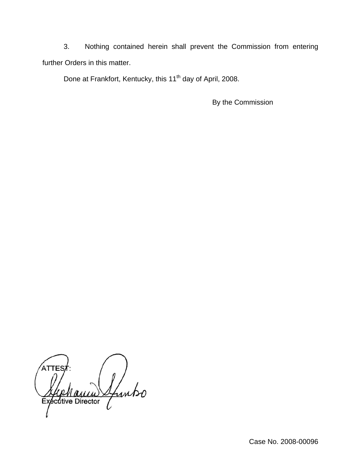3. Nothing contained herein shall prevent the Commission from entering further Orders in this matter.

Done at Frankfort, Kentucky, this 11<sup>th</sup> day of April, 2008.

By the Commission

Luntso Executive Director